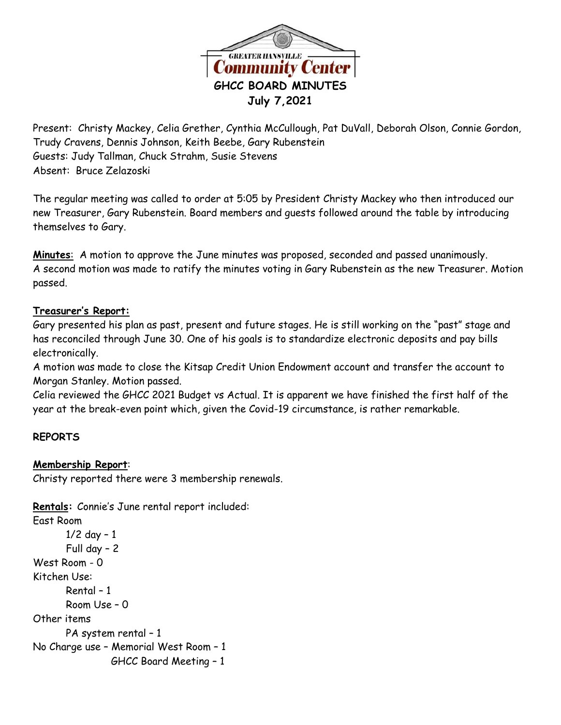

Present: Christy Mackey, Celia Grether, Cynthia McCullough, Pat DuVall, Deborah Olson, Connie Gordon, Trudy Cravens, Dennis Johnson, Keith Beebe, Gary Rubenstein Guests: Judy Tallman, Chuck Strahm, Susie Stevens Absent: Bruce Zelazoski

The regular meeting was called to order at 5:05 by President Christy Mackey who then introduced our new Treasurer, Gary Rubenstein. Board members and guests followed around the table by introducing themselves to Gary.

**Minutes**: A motion to approve the June minutes was proposed, seconded and passed unanimously. A second motion was made to ratify the minutes voting in Gary Rubenstein as the new Treasurer. Motion passed.

# **Treasurer's Report:**

Gary presented his plan as past, present and future stages. He is still working on the "past" stage and has reconciled through June 30. One of his goals is to standardize electronic deposits and pay bills electronically.

A motion was made to close the Kitsap Credit Union Endowment account and transfer the account to Morgan Stanley. Motion passed.

Celia reviewed the GHCC 2021 Budget vs Actual. It is apparent we have finished the first half of the year at the break-even point which, given the Covid-19 circumstance, is rather remarkable.

# **REPORTS**

### **Membership Report**:

Christy reported there were 3 membership renewals.

**Rentals:** Connie's June rental report included:

East Room 1/2 day – 1 Full day – 2 West Room - 0 Kitchen Use: Rental – 1 Room Use – 0 Other items PA system rental – 1 No Charge use – Memorial West Room – 1 GHCC Board Meeting – 1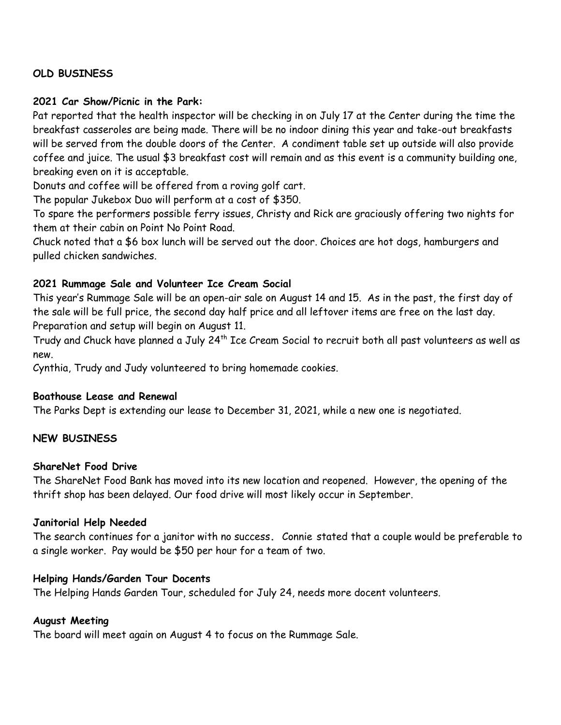# **OLD BUSINESS**

#### **2021 Car Show/Picnic in the Park:**

Pat reported that the health inspector will be checking in on July 17 at the Center during the time the breakfast casseroles are being made. There will be no indoor dining this year and take-out breakfasts will be served from the double doors of the Center. A condiment table set up outside will also provide coffee and juice. The usual \$3 breakfast cost will remain and as this event is a community building one, breaking even on it is acceptable.

Donuts and coffee will be offered from a roving golf cart.

The popular Jukebox Duo will perform at a cost of \$350.

To spare the performers possible ferry issues, Christy and Rick are graciously offering two nights for them at their cabin on Point No Point Road.

Chuck noted that a \$6 box lunch will be served out the door. Choices are hot dogs, hamburgers and pulled chicken sandwiches.

### **2021 Rummage Sale and Volunteer Ice Cream Social**

This year's Rummage Sale will be an open-air sale on August 14 and 15. As in the past, the first day of the sale will be full price, the second day half price and all leftover items are free on the last day. Preparation and setup will begin on August 11.

Trudy and Chuck have planned a July 24<sup>th</sup> Ice Cream Social to recruit both all past volunteers as well as new.

Cynthia, Trudy and Judy volunteered to bring homemade cookies.

### **Boathouse Lease and Renewal**

The Parks Dept is extending our lease to December 31, 2021, while a new one is negotiated.

### **NEW BUSINESS**

#### **ShareNet Food Drive**

The ShareNet Food Bank has moved into its new location and reopened. However, the opening of the thrift shop has been delayed. Our food drive will most likely occur in September.

#### **Janitorial Help Needed**

The search continues for a janitor with no success**.** Connie stated that a couple would be preferable to a single worker. Pay would be \$50 per hour for a team of two.

#### **Helping Hands/Garden Tour Docents**

The Helping Hands Garden Tour, scheduled for July 24, needs more docent volunteers.

#### **August Meeting**

The board will meet again on August 4 to focus on the Rummage Sale.